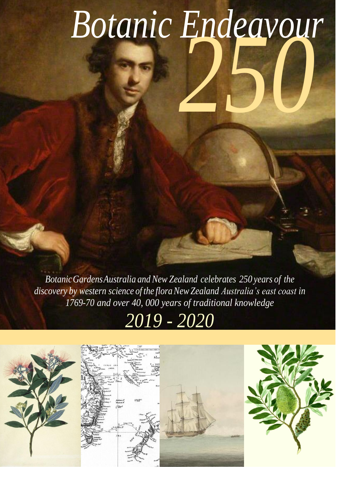# *250 Botanic Endeavour*

*BotanicGardensAustralia and New Zealand celebrates 250 years of the discovery by western science of the floraNewZealand Australia's east coast in 1769-70 and over 40, 000 years of traditional knowledge*

# *2019 - 2020*

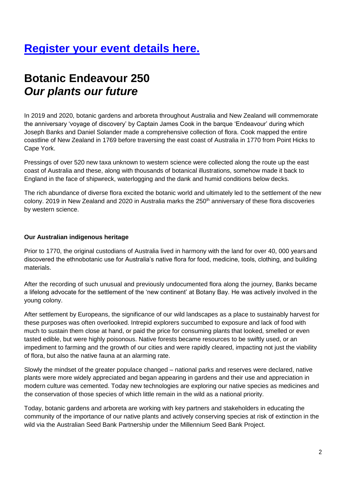## **[Register your event details here.](http://events.constantcontact.com/register/event?llr=fh7pmmjab&oeidk=a07eg5ma43v44b4ed4a)**

### **Botanic Endeavour 250** *Our plants our future*

In 2019 and 2020, botanic gardens and arboreta throughout Australia and New Zealand will commemorate the anniversary 'voyage of discovery' by Captain James Cook in the barque 'Endeavour' during which Joseph Banks and Daniel Solander made a comprehensive collection of flora. Cook mapped the entire coastline of New Zealand in 1769 before traversing the east coast of Australia in 1770 from Point Hicks to Cape York.

Pressings of over 520 new taxa unknown to western science were collected along the route up the east coast of Australia and these, along with thousands of botanical illustrations, somehow made it back to England in the face of shipwreck, waterlogging and the dank and humid conditions below decks.

The rich abundance of diverse flora excited the botanic world and ultimately led to the settlement of the new colony. 2019 in New Zealand and 2020 in Australia marks the 250<sup>th</sup> anniversary of these flora discoveries by western science.

#### **Our Australian indigenous heritage**

Prior to 1770, the original custodians of Australia lived in harmony with the land for over 40, 000 yearsand discovered the ethnobotanic use for Australia's native flora for food, medicine, tools, clothing, and building materials.

After the recording of such unusual and previously undocumented flora along the journey, Banks became a lifelong advocate for the settlement of the 'new continent' at Botany Bay. He was actively involved in the young colony.

After settlement by Europeans, the significance of our wild landscapes as a place to sustainably harvest for these purposes was often overlooked. Intrepid explorers succumbed to exposure and lack of food with much to sustain them close at hand, or paid the price for consuming plants that looked, smelled or even tasted edible, but were highly poisonous. Native forests became resources to be swiftly used, or an impediment to farming and the growth of our cities and were rapidly cleared, impacting not just the viability of flora, but also the native fauna at an alarming rate.

Slowly the mindset of the greater populace changed – national parks and reserves were declared, native plants were more widely appreciated and began appearing in gardens and their use and appreciation in modern culture was cemented. Today new technologies are exploring our native species as medicines and the conservation of those species of which little remain in the wild as a national priority.

Today, botanic gardens and arboreta are working with key partners and stakeholders in educating the community of the importance of our native plants and actively conserving species at risk of extinction in the wild via the Australian Seed Bank Partnership under the Millennium Seed Bank Project.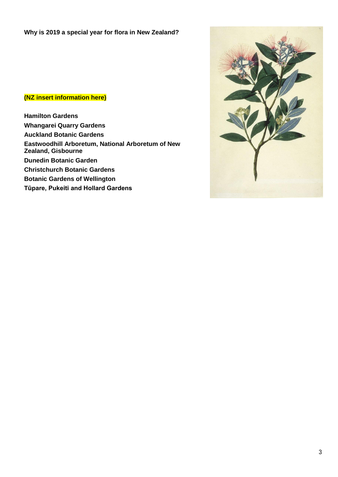#### **(NZ insert information here)**

**Hamilton Gardens Whangarei Quarry Gardens Auckland Botanic Gardens Eastwoodhill Arboretum, National Arboretum of New Zealand, Gisbourne Dunedin Botanic Garden Christchurch Botanic Gardens Botanic Gardens of Wellington Tūpare, Pukeiti and Hollard Gardens**

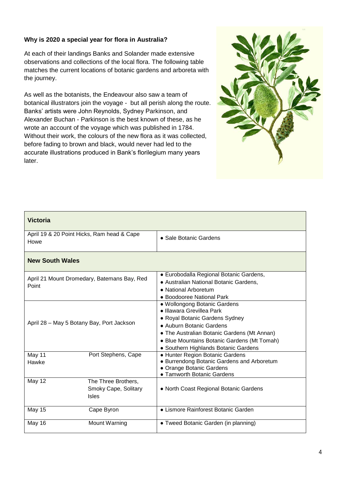#### **Why is 2020 a special year for flora in Australia?**

At each of their landings Banks and Solander made extensive observations and collections of the local flora. The following table matches the current locations of botanic gardens and arboreta with the journey.

As well as the botanists, the Endeavour also saw a team of botanical illustrators join the voyage - but all perish along the route. Banks' artists were John Reynolds, Sydney Parkinson, and Alexander Buchan - Parkinson is the best known of these, as he wrote an account of the voyage which was published in 1784. Without their work, the colours of the new flora as it was collected, before fading to brown and black, would never had led to the accurate illustrations produced in Bank's florilegium many years later.



| <b>Victoria</b>                                      |                                                             |                                                                                                                                                                                                                                                               |
|------------------------------------------------------|-------------------------------------------------------------|---------------------------------------------------------------------------------------------------------------------------------------------------------------------------------------------------------------------------------------------------------------|
| April 19 & 20 Point Hicks, Ram head & Cape<br>Howe   |                                                             | • Sale Botanic Gardens                                                                                                                                                                                                                                        |
| <b>New South Wales</b>                               |                                                             |                                                                                                                                                                                                                                                               |
| April 21 Mount Dromedary, Batemans Bay, Red<br>Point |                                                             | · Eurobodalla Regional Botanic Gardens,<br>• Australian National Botanic Gardens,<br>• National Arboretum<br>• Boodooree National Park                                                                                                                        |
| April 28 - May 5 Botany Bay, Port Jackson            |                                                             | • Wollongong Botanic Gardens<br>• Illawara Grevillea Park<br>• Royal Botanic Gardens Sydney<br>• Auburn Botanic Gardens<br>• The Australian Botanic Gardens (Mt Annan)<br>• Blue Mountains Botanic Gardens (Mt Tomah)<br>• Southern Highlands Botanic Gardens |
| May 11<br>Hawke                                      | Port Stephens, Cape                                         | • Hunter Region Botanic Gardens<br>• Burrendong Botanic Gardens and Arboretum<br>• Orange Botanic Gardens<br>• Tamworth Botanic Gardens                                                                                                                       |
| <b>May 12</b>                                        | The Three Brothers,<br>Smoky Cape, Solitary<br><b>Isles</b> | • North Coast Regional Botanic Gardens                                                                                                                                                                                                                        |
| <b>May 15</b>                                        | Cape Byron                                                  | • Lismore Rainforest Botanic Garden                                                                                                                                                                                                                           |
| May 16                                               | Mount Warning                                               | • Tweed Botanic Garden (in planning)                                                                                                                                                                                                                          |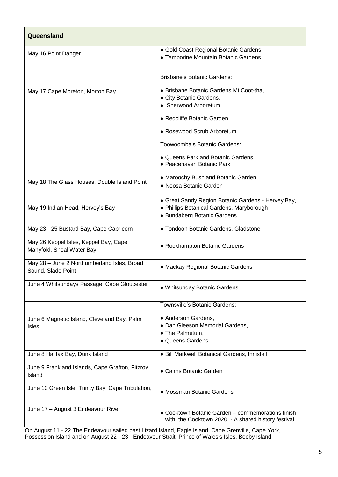| Queensland                                                         |                                                                                                                                |  |
|--------------------------------------------------------------------|--------------------------------------------------------------------------------------------------------------------------------|--|
| May 16 Point Danger                                                | · Gold Coast Regional Botanic Gardens<br>• Tamborine Mountain Botanic Gardens                                                  |  |
|                                                                    | Brisbane's Botanic Gardens:                                                                                                    |  |
| May 17 Cape Moreton, Morton Bay                                    | • Brisbane Botanic Gardens Mt Coot-tha,<br>• City Botanic Gardens,<br>• Sherwood Arboretum                                     |  |
|                                                                    | • Redcliffe Botanic Garden                                                                                                     |  |
|                                                                    | • Rosewood Scrub Arboretum                                                                                                     |  |
|                                                                    | Toowoomba's Botanic Gardens:                                                                                                   |  |
|                                                                    | • Queens Park and Botanic Gardens<br>• Peacehaven Botanic Park                                                                 |  |
| May 18 The Glass Houses, Double Island Point                       | • Maroochy Bushland Botanic Garden<br>• Noosa Botanic Garden                                                                   |  |
| May 19 Indian Head, Hervey's Bay                                   | • Great Sandy Region Botanic Gardens - Hervey Bay,<br>• Phillips Botanical Gardens, Maryborough<br>• Bundaberg Botanic Gardens |  |
| May 23 - 25 Bustard Bay, Cape Capricorn                            | . Tondoon Botanic Gardens, Gladstone                                                                                           |  |
| May 26 Keppel Isles, Keppel Bay, Cape<br>Manyfold, Shoal Water Bay | • Rockhampton Botanic Gardens                                                                                                  |  |
| May 28 - June 2 Northumberland Isles, Broad<br>Sound, Slade Point  | • Mackay Regional Botanic Gardens                                                                                              |  |
| June 4 Whitsundays Passage, Cape Gloucester                        | • Whitsunday Botanic Gardens                                                                                                   |  |
|                                                                    | Townsville's Botanic Gardens:                                                                                                  |  |
| June 6 Magnetic Island, Cleveland Bay, Palm<br>Isles               | • Anderson Gardens,<br>• Dan Gleeson Memorial Gardens,<br>• The Palmetum,<br>• Queens Gardens                                  |  |
| June 8 Halifax Bay, Dunk Island                                    | · Bill Markwell Botanical Gardens, Innisfail                                                                                   |  |
| June 9 Frankland Islands, Cape Grafton, Fitzroy<br>Island          | • Cairns Botanic Garden                                                                                                        |  |
| June 10 Green Isle, Trinity Bay, Cape Tribulation,                 | • Mossman Botanic Gardens                                                                                                      |  |
| June 17 - August 3 Endeavour River                                 | • Cooktown Botanic Garden - commemorations finish<br>with the Cooktown 2020 - A shared history festival                        |  |

On August 11 - 22 The Endeavour sailed past Lizard Island, Eagle Island, Cape Grenville, Cape York, Possession Island and on August 22 - 23 - Endeavour Strait, Prince of Wales's Isles, Booby Island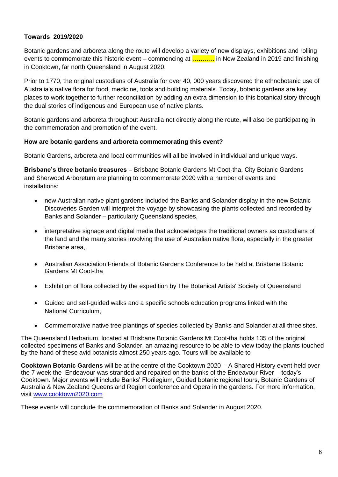#### **Towards 2019/2020**

Botanic gardens and arboreta along the route will develop a variety of new displays, exhibitions and rolling events to commemorate this historic event – commencing at ……….. in New Zealand in 2019 and finishing in Cooktown, far north Queensland in August 2020.

Prior to 1770, the original custodians of Australia for over 40, 000 years discovered the ethnobotanic use of Australia's native flora for food, medicine, tools and building materials. Today, botanic gardens are key places to work together to further reconciliation by adding an extra dimension to this botanical story through the dual stories of indigenous and European use of native plants.

Botanic gardens and arboreta throughout Australia not directly along the route, will also be participating in the commemoration and promotion of the event.

#### **How are botanic gardens and arboreta commemorating this event?**

Botanic Gardens, arboreta and local communities will all be involved in individual and unique ways.

**Brisbane's three botanic treasures** – Brisbane Botanic Gardens Mt Coot-tha, City Botanic Gardens and Sherwood Arboretum are planning to commemorate 2020 with a number of events and installations:

- new Australian native plant gardens included the Banks and Solander display in the new Botanic Discoveries Garden will interpret the voyage by showcasing the plants collected and recorded by Banks and Solander – particularly Queensland species,
- interpretative signage and digital media that acknowledges the traditional owners as custodians of the land and the many stories involving the use of Australian native flora, especially in the greater Brisbane area,
- Australian Association Friends of Botanic Gardens Conference to be held at Brisbane Botanic Gardens Mt Coot-tha
- Exhibition of flora collected by the expedition by The Botanical Artists' Society of Queensland
- Guided and self-guided walks and a specific schools education programs linked with the National Curriculum,
- Commemorative native tree plantings of species collected by Banks and Solander at all three sites.

The Queensland Herbarium, located at Brisbane Botanic Gardens Mt Coot-tha holds 135 of the original collected specimens of Banks and Solander, an amazing resource to be able to view today the plants touched by the hand of these avid botanists almost 250 years ago. Tours will be available to

**Cooktown Botanic Gardens** will be at the centre of the Cooktown 2020 - A Shared History event held over the 7 week the Endeavour was stranded and repaired on the banks of the Endeavour River - today's Cooktown. Major events will include Banks' Florilegium, Guided botanic regional tours, Botanic Gardens of Australia & New Zealand Queensland Region conference and Opera in the gardens. For more information, visit [www.cooktown2020.com](http://www.cooktown2020.com/)

These events will conclude the commemoration of Banks and Solander in August 2020.